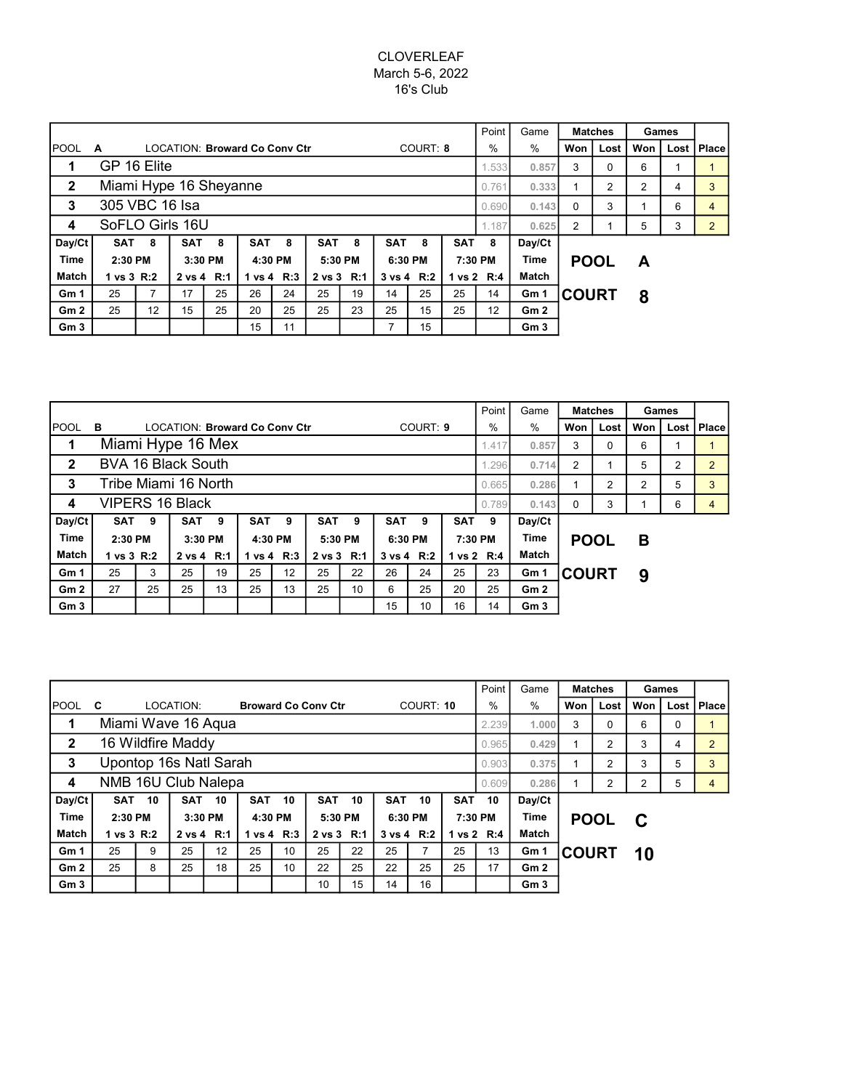# CLOVERLEAF March 5-6, 2022 16's Club

|                 |                        |    |            |         |                                      |         |            |                |            |            |            | Point          | Game            |              | <b>Matches</b> |   | Games |  |
|-----------------|------------------------|----|------------|---------|--------------------------------------|---------|------------|----------------|------------|------------|------------|----------------|-----------------|--------------|----------------|---|-------|--|
| <b>POOL</b>     | A                      |    |            |         | <b>LOCATION: Broward Co Conv Ctr</b> |         | $\%$       | %              | Won        | Lost       | Won        | Lost           | Place           |              |                |   |       |  |
| 1               | GP 16 Elite            |    |            |         |                                      | 1.533   | 0.857      | 3              | 0          | 6          |            |                |                 |              |                |   |       |  |
| $\mathbf{2}$    | Miami Hype 16 Sheyanne |    |            |         |                                      | 0.761   | 0.333      |                | 2          | 2          | 4          | 3              |                 |              |                |   |       |  |
| 3               | 305 VBC 16 Isa         |    |            |         |                                      | 0.690   | 0.143      | 0              | 3          |            | 6          | 4              |                 |              |                |   |       |  |
| 4               | SoFLO Girls 16U        |    |            |         |                                      | 1.187   | 0.625      | $\overline{c}$ |            | 5          | 3          | $\overline{2}$ |                 |              |                |   |       |  |
| Day/Ct          | <b>SAT</b>             | 8  | <b>SAT</b> | 8       | <b>SAT</b>                           | 8       | <b>SAT</b> | 8              | <b>SAT</b> | 8          | <b>SAT</b> | 8              | Day/Ct          |              |                |   |       |  |
| <b>Time</b>     | 2:30 PM                |    |            | 3:30 PM |                                      | 4:30 PM | 5:30 PM    |                |            | 6:30 PM    |            | 7:30 PM        | Time            |              | <b>POOL</b>    | A |       |  |
| <b>Match</b>    | 1 vs 3 R:2             |    | 2 vs 4 R:1 |         | 1 vs 4 R:3                           |         | 2 vs 3 R:1 |                |            | 3 vs 4 R:2 |            | 1 vs 2 R:4     | <b>Match</b>    |              |                |   |       |  |
| Gm <sub>1</sub> | 25                     | 7  | 17         | 25      | 26                                   | 24      | 25         | 19             | 14         | 25         | 25         | 14             | Gm 1            | <b>COURT</b> |                | 8 |       |  |
| Gm2             | 25                     | 12 | 15         | 25      | 20                                   | 25      | 25         | 23             | 25         | 15         | 25         | 12             | Gm2             |              |                |   |       |  |
| Gm <sub>3</sub> |                        |    |            |         | 15                                   | 11      |            |                | 7          | 15         |            |                | Gm <sub>3</sub> |              |                |   |       |  |

|                 |                          |    |                  |              |                                      |            |            |                |            |          |            | Point          | Game            |              | <b>Matches</b> | Games |   |              |
|-----------------|--------------------------|----|------------------|--------------|--------------------------------------|------------|------------|----------------|------------|----------|------------|----------------|-----------------|--------------|----------------|-------|---|--------------|
| <b>POOL</b>     | в                        |    |                  |              | <b>LOCATION: Broward Co Conv Ctr</b> |            |            |                |            | COURT: 9 |            | $\%$           | $\%$            | Won          | Lost           | Won   |   | Lost   Place |
| 1               | Miami Hype 16 Mex        |    |                  |              |                                      | 1.417      | 0.857      | 3              | $\Omega$   | 6        |            |                |                 |              |                |       |   |              |
| $\mathbf{2}$    | BVA 16 Black South       |    |                  |              |                                      | 1.296      | 0.714      | $\overline{2}$ |            | 5        | 2          | $\overline{2}$ |                 |              |                |       |   |              |
| 3               | Tribe Miami 16 North     |    |                  |              |                                      |            |            | 0.665          | 0.286      |          | 2          | 2              | 5               | 3            |                |       |   |              |
| 4               | <b>VIPERS 16 Black</b>   |    |                  |              |                                      |            |            |                |            |          |            |                | 0.143           | $\Omega$     | 3              |       | 6 | 4            |
| Day/Ct          | SAT <sub>9</sub>         |    | SAT <sub>9</sub> |              | SAT <sub>9</sub>                     |            | <b>SAT</b> | 9              | <b>SAT</b> | 9        | <b>SAT</b> | - 9            | Day/Ct          |              |                |       |   |              |
| Time            | 2:30 PM                  |    | 3:30 PM          |              | 4:30 PM                              |            | 5:30 PM    |                | 6:30 PM    |          | 7:30 PM    |                | <b>Time</b>     | <b>POOL</b>  |                | в     |   |              |
| <b>Match</b>    | 1 vs 3 R:2<br>2 vs 4 R:1 |    |                  | 1 vs 4 $R:3$ |                                      | 2 vs 3 R:1 |            | 3 vs 4 R:2     |            |          | 1 vs 2 R:4 | Match          |                 |              |                |       |   |              |
| Gm <sub>1</sub> | 25                       | 3  | 25               | 19           | 25                                   | 12         | 25         | 22             | 26         | 24       | 25         | 23             | Gm 1            | <b>COURT</b> |                | 9     |   |              |
| Gm <sub>2</sub> | 27                       | 25 | 25               | 13           | 25                                   | 13         | 25         | 10             | 6          | 25       | 20         | 25             | Gm2             |              |                |       |   |              |
| Gm <sub>3</sub> |                          |    |                  |              |                                      |            |            |                | 15         | 10       | 16         | 14             | Gm <sub>3</sub> |              |                |       |   |              |

|                 |                        |    |                   |         |            |                |                            |         | Point      | Game       |            | <b>Matches</b> | Games           |              |             |     |      |       |
|-----------------|------------------------|----|-------------------|---------|------------|----------------|----------------------------|---------|------------|------------|------------|----------------|-----------------|--------------|-------------|-----|------|-------|
| <b>POOL</b>     | C                      |    | LOCATION:         |         |            |                | <b>Broward Co Conv Ctr</b> |         | COURT: 10  |            |            | $\%$           | $\%$            | Won          | Lost        | Won | Lost | Place |
|                 | Miami Wave 16 Aqua     |    |                   |         |            | 2.239          | 1.000                      | 3       | $\Omega$   | 6          | 0          |                |                 |              |             |     |      |       |
| $\mathbf{2}$    |                        |    | 16 Wildfire Maddy |         |            | 0.965          | 0.429                      |         | 2          | 3          | 4          | $\overline{2}$ |                 |              |             |     |      |       |
| 3               | Upontop 16s Natl Sarah |    |                   |         |            | 0.903          | 0.375                      |         | 2          | 3          | 5          | 3              |                 |              |             |     |      |       |
| 4               | NMB 16U Club Nalepa    |    | 0.609             | 0.286   |            | $\overline{2}$ | $\overline{2}$             | 5       | 4          |            |            |                |                 |              |             |     |      |       |
| Day/Ct          | <b>SAT</b>             | 10 | <b>SAT</b>        | 10      | <b>SAT</b> | 10             | <b>SAT</b>                 | 10      | <b>SAT</b> | 10         | <b>SAT</b> | 10             | Day/Ct          |              |             |     |      |       |
| Time            | 2:30 PM                |    |                   | 3:30 PM |            | 4:30 PM        |                            | 5:30 PM |            | 6:30 PM    |            | 7:30 PM        | Time            |              | <b>POOL</b> | - C |      |       |
| <b>Match</b>    | 1 vs 3 R:2             |    | 2 vs 4 R:1        |         | 1 vs 4 R:3 |                | 2 vs 3 R:1                 |         |            | 3 vs 4 R:2 |            | 1 vs 2 R:4     | Match           |              |             |     |      |       |
| Gm <sub>1</sub> | 25                     | 9  | 25                | 12      | 25         | 10             | 25                         | 22      | 25         |            | 25         | 13             | Gm 1            | <b>COURT</b> |             | 10  |      |       |
| Gm2             | 25                     | 8  | 25                | 18      | 25         | 10             | 22                         | 25      | 22         | 25         | 25         | 17             | Gm2             |              |             |     |      |       |
| Gm <sub>3</sub> |                        |    |                   |         |            |                | 10                         | 15      | 14         | 16         |            |                | Gm <sub>3</sub> |              |             |     |      |       |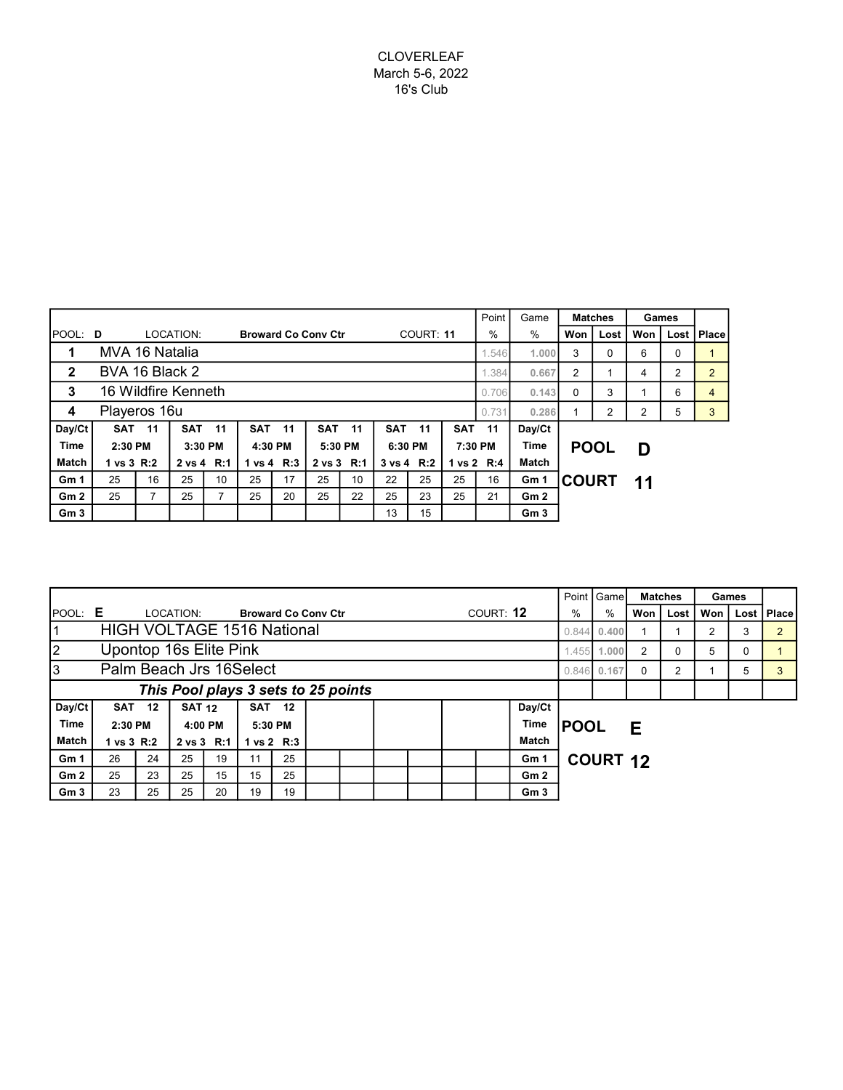# CLOVERLEAF March 5-6, 2022 16's Club

|                 |                          |       |                     |                |               |            |                            |                |            |         | Point      | Game    |                 | <b>Matches</b> | Games       |     |      |       |
|-----------------|--------------------------|-------|---------------------|----------------|---------------|------------|----------------------------|----------------|------------|---------|------------|---------|-----------------|----------------|-------------|-----|------|-------|
| <b>POOL: D</b>  |                          |       | LOCATION:           |                |               |            | <b>Broward Co Conv Ctr</b> |                | COURT: 11  |         |            | %       | %               | Won            | Lost        | Won | Lost | Place |
| 1               | MVA 16 Natalia           |       |                     |                |               |            |                            | 1.546          | 1.000      | 3       | $\Omega$   | 6       | $\mathbf 0$     |                |             |     |      |       |
| $\mathbf{2}$    | BVA 16 Black 2           | 1.384 | 0.667               | $\overline{2}$ |               | 4          | 2                          | $\overline{2}$ |            |         |            |         |                 |                |             |     |      |       |
| 3               |                          |       | 16 Wildfire Kenneth |                | 0.706         | 0.143      | 0                          | 3              |            | 6       | 4          |         |                 |                |             |     |      |       |
| 4               | Playeros 16u             |       |                     |                |               |            | 0.731                      | 0.286          |            | 2       | 2          | 5       | 3               |                |             |     |      |       |
| Day/Ct          | <b>SAT</b>               | $-11$ | <b>SAT</b>          | 11             | <b>SAT 11</b> |            | <b>SAT</b>                 | 11             | <b>SAT</b> | $-11$   | <b>SAT</b> | 11      | Day/Ct          |                |             |     |      |       |
| Time            | 2:30 PM                  |       |                     | 3:30 PM        |               | 4:30 PM    |                            | 5:30 PM        |            | 6:30 PM |            | 7:30 PM | Time            |                | <b>POOL</b> | D   |      |       |
| <b>Match</b>    | 1 vs 3 R:2<br>2 vs 4 R:1 |       |                     | 1 vs 4 R:3     |               | 2 vs 3 R:1 |                            | 3 vs 4 R:2     |            |         | 1 vs 2 R:4 | Match   |                 |                |             |     |      |       |
| Gm <sub>1</sub> | 25                       | 16    | 25                  | 10             | 25            | 17         | 25                         | 10             | 22         | 25      | 25         | 16      | Gm 1            | <b>COURT</b>   |             | 11  |      |       |
| Gm <sub>2</sub> | 25                       |       | 25                  |                | 25            | 20         | 25                         | 22             | 25         | 23      | 25         | 21      | Gm2             |                |             |     |      |       |
| Gm <sub>3</sub> |                          |       |                     |                |               |            |                            |                | 13         | 15      |            |         | Gm <sub>3</sub> |                |             |     |      |       |

|                 |                                     |               |               |    |                            |    |      |  |  |  |  |           |                 | Point   Game |                 | <b>Matches</b> | Games |     |          |                |
|-----------------|-------------------------------------|---------------|---------------|----|----------------------------|----|------|--|--|--|--|-----------|-----------------|--------------|-----------------|----------------|-------|-----|----------|----------------|
| POOL: E         |                                     |               | LOCATION:     |    | <b>Broward Co Conv Ctr</b> |    |      |  |  |  |  | COURT: 12 |                 | $\%$         | %               | Won I          | Lost  | Won |          | Lost   Place   |
| 1               | <b>HIGH VOLTAGE 1516 National</b>   |               |               |    |                            |    |      |  |  |  |  |           |                 |              |                 | 0.400          |       | 2   | 3        | $\overline{2}$ |
| $\vert$ 2       | Upontop 16s Elite Pink              |               |               |    |                            |    |      |  |  |  |  |           |                 |              | 1.000           | 2              | 0     | 5   | $\Omega$ |                |
| 3               | Palm Beach Jrs 16Select             |               |               |    |                            |    |      |  |  |  |  |           |                 |              |                 | $\Omega$       | 2     |     | 5        | 3              |
|                 | This Pool plays 3 sets to 25 points |               |               |    |                            |    |      |  |  |  |  |           |                 |              |                 |                |       |     |          |                |
| Day/Ct          |                                     | <b>SAT 12</b> | <b>SAT 12</b> |    | <b>SAT 12</b>              |    |      |  |  |  |  |           | Day/Ct          |              |                 |                |       |     |          |                |
| Time            | 2:30 PM                             |               | 4:00 PM       |    | 5:30 PM                    |    | Time |  |  |  |  |           |                 | <b>POOL</b>  |                 | Е              |       |     |          |                |
| <b>Match</b>    | 1 vs 3 R:2                          |               | 2 vs 3 R:1    |    | 1 vs $2$ R:3               |    |      |  |  |  |  |           | <b>Match</b>    |              |                 |                |       |     |          |                |
| Gm <sub>1</sub> | 26                                  | 24            | 25            | 19 | 11                         | 25 |      |  |  |  |  |           | Gm 1            |              | <b>COURT 12</b> |                |       |     |          |                |
| Gm2             | 25                                  | 23            | 25            | 15 | 15                         | 25 |      |  |  |  |  |           | Gm2             |              |                 |                |       |     |          |                |
| Gm <sub>3</sub> | 23                                  | 25            | 25            | 20 | 19                         | 19 |      |  |  |  |  |           | Gm <sub>3</sub> |              |                 |                |       |     |          |                |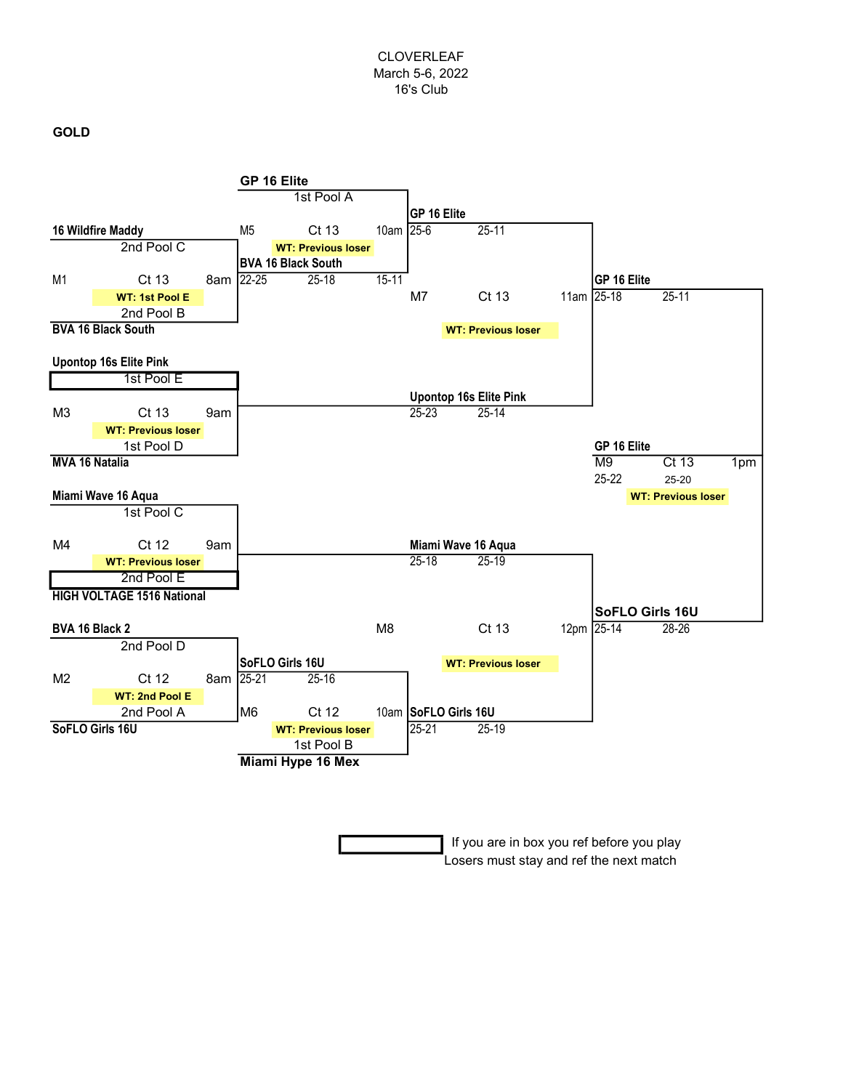#### CLOVERLEAF March 5-6, 2022 16's Club

### GOLD



 If you are in box you ref before you play Losers must stay and ref the next match